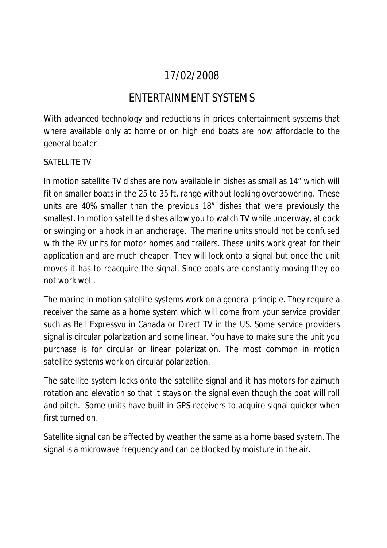# 17/02/2008

## ENTERTAINMENT SYSTEMS

With advanced technology and reductions in prices entertainment systems that where available only at home or on high end boats are now affordable to the general boater.

### SATELLITE TV

In motion satellite TV dishes are now available in dishes as small as 14" which will fit on smaller boats in the 25 to 35 ft. range without looking overpowering. These units are 40% smaller than the previous 18" dishes that were previously the smallest. In motion satellite dishes allow you to watch TV while underway, at dock or swinging on a hook in an anchorage. The marine units should not be confused with the RV units for motor homes and trailers. These units work great for their application and are much cheaper. They will lock onto a signal but once the unit moves it has to reacquire the signal. Since boats are constantly moving they do not work well.

The marine in motion satellite systems work on a general principle. They require a receiver the same as a home system which will come from your service provider such as Bell Expressvu in Canada or Direct TV in the US. Some service providers signal is circular polarization and some linear. You have to make sure the unit you purchase is for circular or linear polarization. The most common in motion satellite systems work on circular polarization.

The satellite system locks onto the satellite signal and it has motors for azimuth rotation and elevation so that it stays on the signal even though the boat will roll and pitch. Some units have built in GPS receivers to acquire signal quicker when first turned on.

Satellite signal can be affected by weather the same as a home based system. The signal is a microwave frequency and can be blocked by moisture in the air.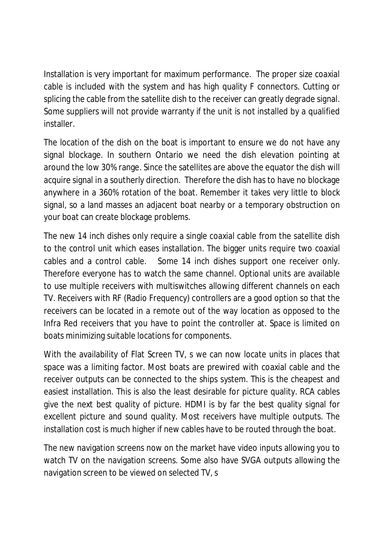Installation is very important for maximum performance. The proper size coaxial cable is included with the system and has high quality F connectors. Cutting or splicing the cable from the satellite dish to the receiver can greatly degrade signal. Some suppliers will not provide warranty if the unit is not installed by a qualified installer.

The location of the dish on the boat is important to ensure we do not have any signal blockage. In southern Ontario we need the dish elevation pointing at around the low 30% range. Since the satellites are above the equator the dish will acquire signal in a southerly direction. Therefore the dish has to have no blockage anywhere in a 360% rotation of the boat. Remember it takes very little to block signal, so a land masses an adjacent boat nearby or a temporary obstruction on your boat can create blockage problems.

The new 14 inch dishes only require a single coaxial cable from the satellite dish to the control unit which eases installation. The bigger units require two coaxial cables and a control cable. Some 14 inch dishes support one receiver only. Therefore everyone has to watch the same channel. Optional units are available to use multiple receivers with multiswitches allowing different channels on each TV. Receivers with RF (Radio Frequency) controllers are a good option so that the receivers can be located in a remote out of the way location as opposed to the Infra Red receivers that you have to point the controller at. Space is limited on boats minimizing suitable locations for components.

With the availability of Flat Screen TV, s we can now locate units in places that space was a limiting factor. Most boats are prewired with coaxial cable and the receiver outputs can be connected to the ships system. This is the cheapest and easiest installation. This is also the least desirable for picture quality. RCA cables give the next best quality of picture. HDMI is by far the best quality signal for excellent picture and sound quality. Most receivers have multiple outputs. The installation cost is much higher if new cables have to be routed through the boat.

The new navigation screens now on the market have video inputs allowing you to watch TV on the navigation screens. Some also have SVGA outputs allowing the navigation screen to be viewed on selected TV, s